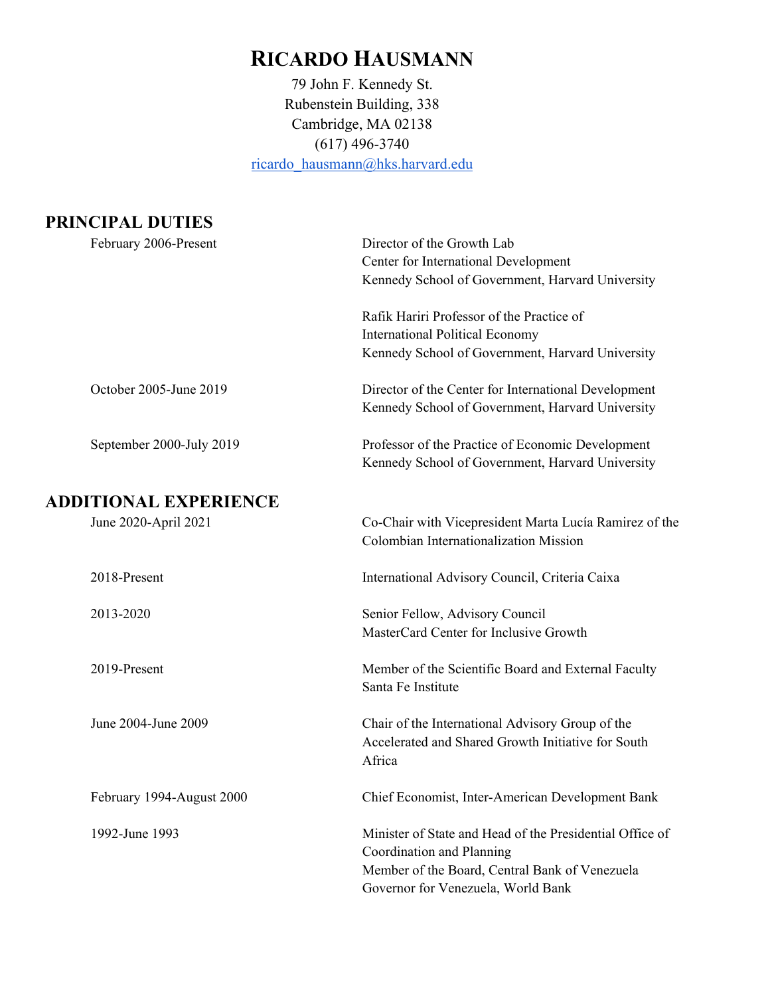# **RICARDO HAUSMANN**

79 John F. Kennedy St. Rubenstein Building, 338 Cambridge, MA 02138 (617) 496-3740 [ricardo\\_hausmann@hks.harvard.edu](mailto:ricardo_hausmann@hks.harvard.edu) 

## **PRINCIPAL DUTIES**

| February 2006-Present        | Director of the Growth Lab                                                                                       |
|------------------------------|------------------------------------------------------------------------------------------------------------------|
|                              | Center for International Development                                                                             |
|                              | Kennedy School of Government, Harvard University                                                                 |
|                              | Rafik Hariri Professor of the Practice of                                                                        |
|                              | <b>International Political Economy</b>                                                                           |
|                              | Kennedy School of Government, Harvard University                                                                 |
| October 2005-June 2019       | Director of the Center for International Development<br>Kennedy School of Government, Harvard University         |
| September 2000-July 2019     | Professor of the Practice of Economic Development<br>Kennedy School of Government, Harvard University            |
| <b>ADDITIONAL EXPERIENCE</b> |                                                                                                                  |
| June 2020-April 2021         | Co-Chair with Vicepresident Marta Lucía Ramirez of the<br>Colombian Internationalization Mission                 |
| 2018-Present                 | International Advisory Council, Criteria Caixa                                                                   |
| 2013-2020                    | Senior Fellow, Advisory Council                                                                                  |
|                              | MasterCard Center for Inclusive Growth                                                                           |
| 2019-Present                 | Member of the Scientific Board and External Faculty<br>Santa Fe Institute                                        |
| June 2004-June 2009          | Chair of the International Advisory Group of the<br>Accelerated and Shared Growth Initiative for South<br>Africa |
| February 1994-August 2000    | Chief Economist, Inter-American Development Bank                                                                 |
| 1992-June 1993               | Minister of State and Head of the Presidential Office of                                                         |
|                              | Coordination and Planning                                                                                        |
|                              | Member of the Board, Central Bank of Venezuela                                                                   |
|                              | Governor for Venezuela, World Bank                                                                               |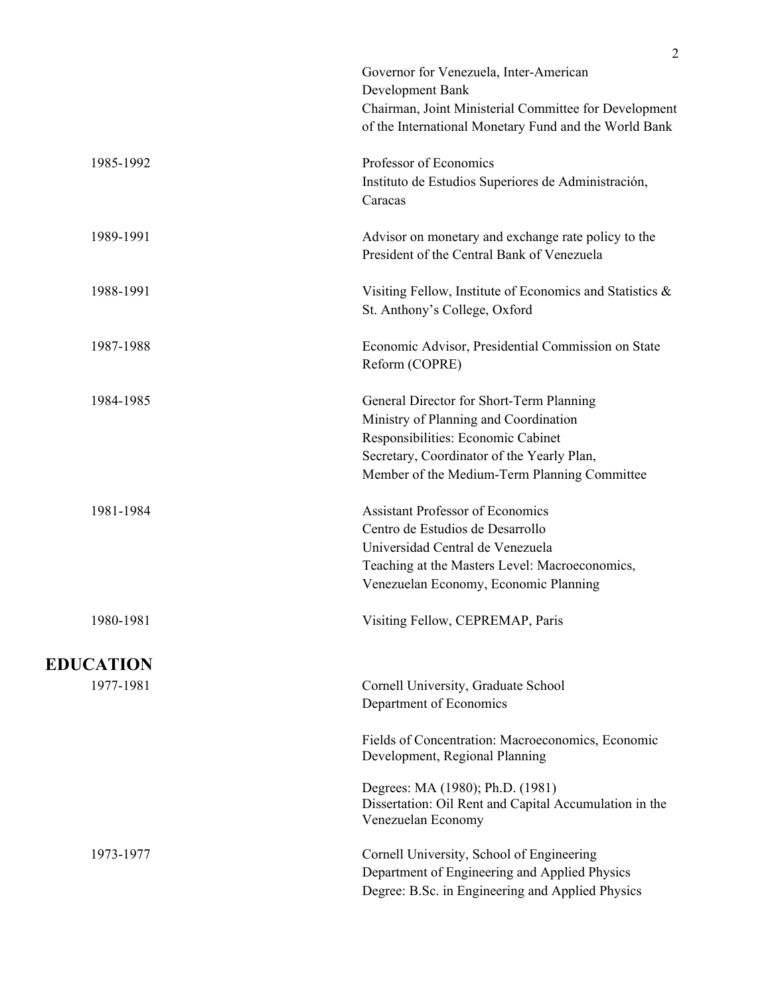|                  | Governor for Venezuela, Inter-American<br>Development Bank<br>Chairman, Joint Ministerial Committee for Development |
|------------------|---------------------------------------------------------------------------------------------------------------------|
|                  | of the International Monetary Fund and the World Bank                                                               |
| 1985-1992        | Professor of Economics                                                                                              |
|                  | Instituto de Estudios Superiores de Administración,<br>Caracas                                                      |
| 1989-1991        | Advisor on monetary and exchange rate policy to the<br>President of the Central Bank of Venezuela                   |
| 1988-1991        | Visiting Fellow, Institute of Economics and Statistics &<br>St. Anthony's College, Oxford                           |
| 1987-1988        | Economic Advisor, Presidential Commission on State<br>Reform (COPRE)                                                |
| 1984-1985        | General Director for Short-Term Planning                                                                            |
|                  | Ministry of Planning and Coordination<br>Responsibilities: Economic Cabinet                                         |
|                  | Secretary, Coordinator of the Yearly Plan,                                                                          |
|                  | Member of the Medium-Term Planning Committee                                                                        |
| 1981-1984        | <b>Assistant Professor of Economics</b>                                                                             |
|                  | Centro de Estudios de Desarrollo                                                                                    |
|                  | Universidad Central de Venezuela                                                                                    |
|                  | Teaching at the Masters Level: Macroeconomics,<br>Venezuelan Economy, Economic Planning                             |
| 1980-1981        | Visiting Fellow, CEPREMAP, Paris                                                                                    |
| <b>EDUCATION</b> |                                                                                                                     |
| 1977-1981        | Cornell University, Graduate School                                                                                 |
|                  | Department of Economics                                                                                             |
|                  | Fields of Concentration: Macroeconomics, Economic<br>Development, Regional Planning                                 |
|                  | Degrees: MA (1980); Ph.D. (1981)<br>Dissertation: Oil Rent and Capital Accumulation in the<br>Venezuelan Economy    |
| 1973-1977        | Cornell University, School of Engineering                                                                           |
|                  | Department of Engineering and Applied Physics                                                                       |
|                  | Degree: B.Sc. in Engineering and Applied Physics                                                                    |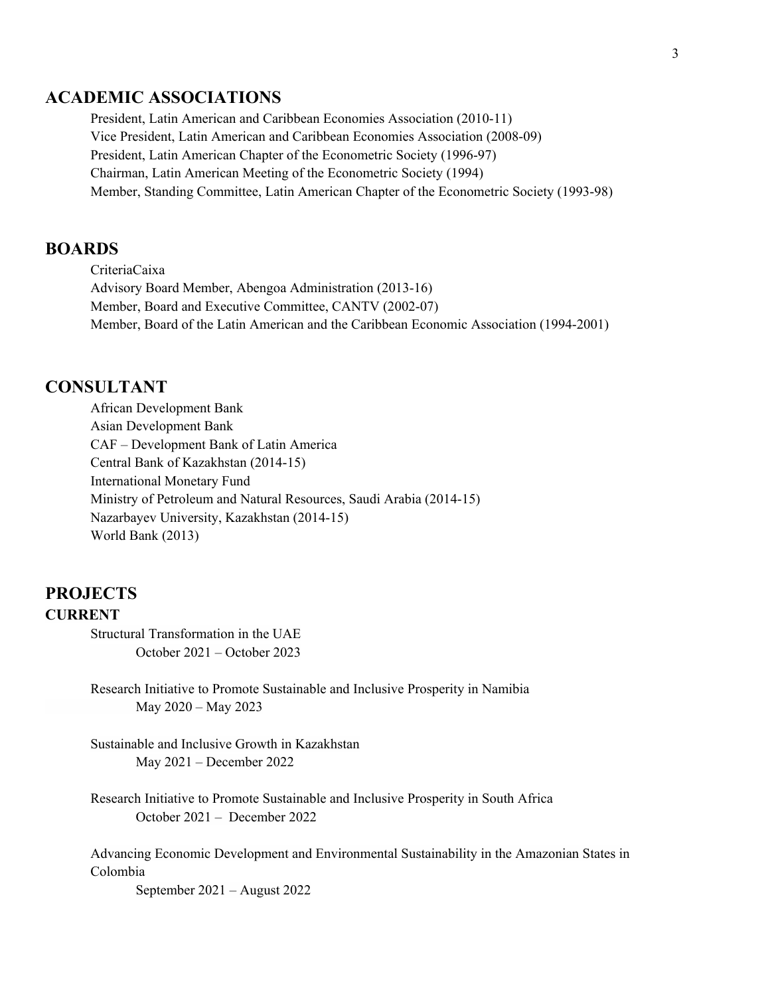## **ACADEMIC ASSOCIATIONS**

President, Latin American and Caribbean Economies Association (2010-11) Vice President, Latin American and Caribbean Economies Association (2008-09) President, Latin American Chapter of the Econometric Society (1996-97) Chairman, Latin American Meeting of the Econometric Society (1994) Member, Standing Committee, Latin American Chapter of the Econometric Society (1993-98)

## **BOARDS**

CriteriaCaixa Advisory Board Member, Abengoa Administration (2013-16) Member, Board and Executive Committee, CANTV (2002-07) Member, Board of the Latin American and the Caribbean Economic Association (1994-2001)

#### **CONSULTANT**

African Development Bank Asian Development Bank CAF – Development Bank of Latin America Central Bank of Kazakhstan (2014-15) International Monetary Fund Ministry of Petroleum and Natural Resources, Saudi Arabia (2014-15) Nazarbayev University, Kazakhstan (2014-15) World Bank (2013)

## **PROJECTS CURRENT**

Structural Transformation in the UAE October 2021 – October 2023

Research Initiative to Promote Sustainable and Inclusive Prosperity in Namibia May 2020 – May 2023

Sustainable and Inclusive Growth in Kazakhstan May 2021 – December 2022

Research Initiative to Promote Sustainable and Inclusive Prosperity in South Africa October 2021 – December 2022

Advancing Economic Development and Environmental Sustainability in the Amazonian States in Colombia

September 2021 – August 2022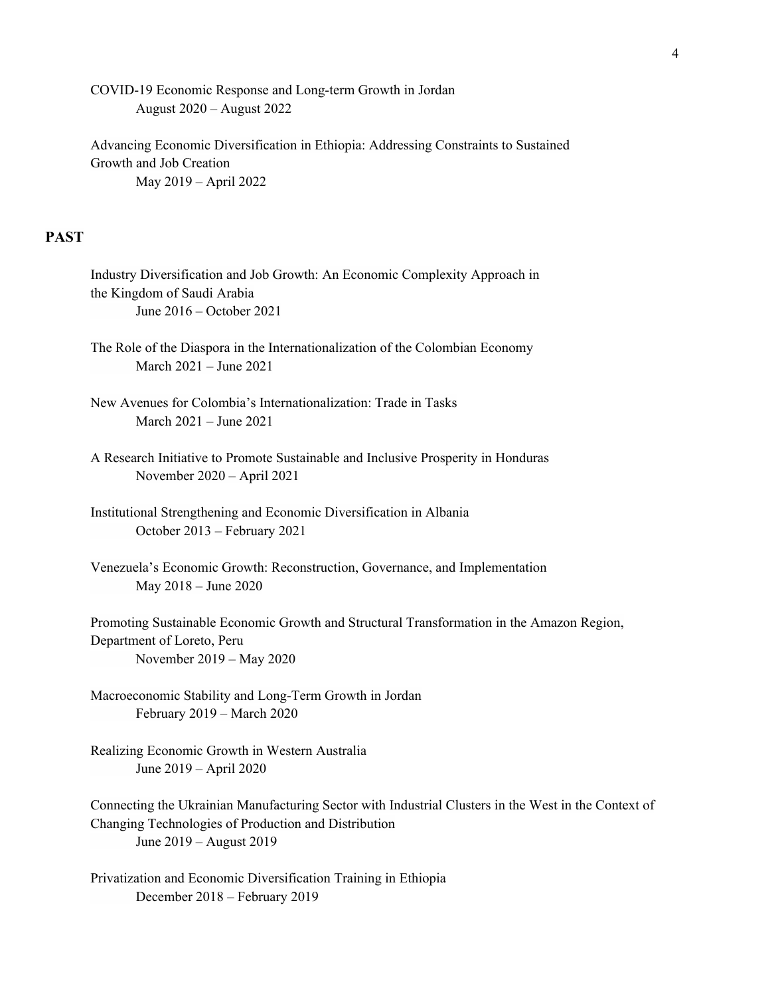COVID-19 Economic Response and Long-term Growth in Jordan August 2020 – August 2022

Advancing Economic Diversification in Ethiopia: Addressing Constraints to Sustained Growth and Job Creation May 2019 – April 2022

## **PAST**

| Industry Diversification and Job Growth: An Economic Complexity Approach in<br>the Kingdom of Saudi Arabia<br>June 2016 – October 2021                                                  |
|-----------------------------------------------------------------------------------------------------------------------------------------------------------------------------------------|
| The Role of the Diaspora in the Internationalization of the Colombian Economy<br>March 2021 - June 2021                                                                                 |
| New Avenues for Colombia's Internationalization: Trade in Tasks<br>March 2021 - June 2021                                                                                               |
| A Research Initiative to Promote Sustainable and Inclusive Prosperity in Honduras<br>November 2020 - April 2021                                                                         |
| Institutional Strengthening and Economic Diversification in Albania<br>October 2013 - February 2021                                                                                     |
| Venezuela's Economic Growth: Reconstruction, Governance, and Implementation<br>May 2018 - June 2020                                                                                     |
| Promoting Sustainable Economic Growth and Structural Transformation in the Amazon Region,<br>Department of Loreto, Peru<br>November 2019 - May 2020                                     |
| Macroeconomic Stability and Long-Term Growth in Jordan<br>February 2019 - March 2020                                                                                                    |
| Realizing Economic Growth in Western Australia<br>June 2019 – April 2020                                                                                                                |
| Connecting the Ukrainian Manufacturing Sector with Industrial Clusters in the West in the Context of<br>Changing Technologies of Production and Distribution<br>June 2019 – August 2019 |
| Privatization and Economic Diversification Training in Ethiopia<br>December 2018 - February 2019                                                                                        |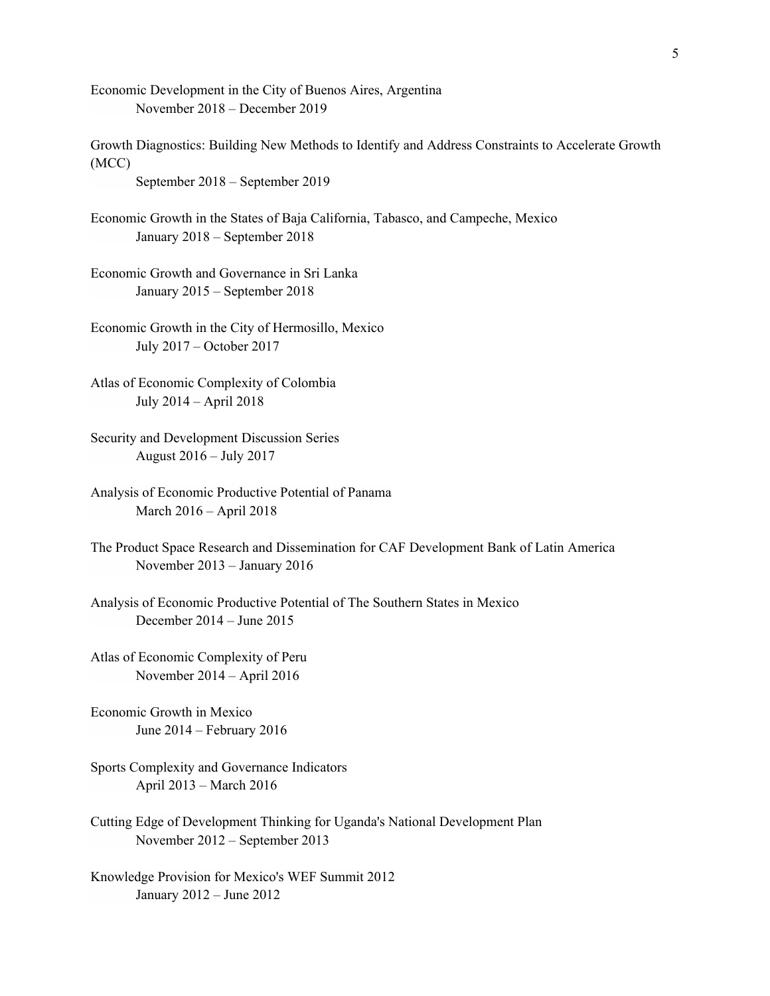Economic Development in the City of Buenos Aires, Argentina November 2018 – December 2019

Growth Diagnostics: Building New Methods to Identify and Address Constraints to Accelerate Growth (MCC)

September 2018 – September 2019

Economic Growth in the States of Baja California, Tabasco, and Campeche, Mexico January 2018 – September 2018

Economic Growth and Governance in Sri Lanka January 2015 – September 2018

Economic Growth in the City of Hermosillo, Mexico July 2017 – October 2017

Atlas of Economic Complexity of Colombia July 2014 – April 2018

Security and Development Discussion Series August 2016 – July 2017

Analysis of Economic Productive Potential of Panama March 2016 – April 2018

The Product Space Research and Dissemination for CAF Development Bank of Latin America November 2013 – January 2016

Analysis of Economic Productive Potential of The Southern States in Mexico December 2014 – June 2015

Atlas of Economic Complexity of Peru November 2014 – April 2016

Economic Growth in Mexico June 2014 – February 2016

Sports Complexity and Governance Indicators April 2013 – March 2016

Cutting Edge of Development Thinking for Uganda's National Development Plan November 2012 – September 2013

Knowledge Provision for Mexico's WEF Summit 2012 January 2012 – June 2012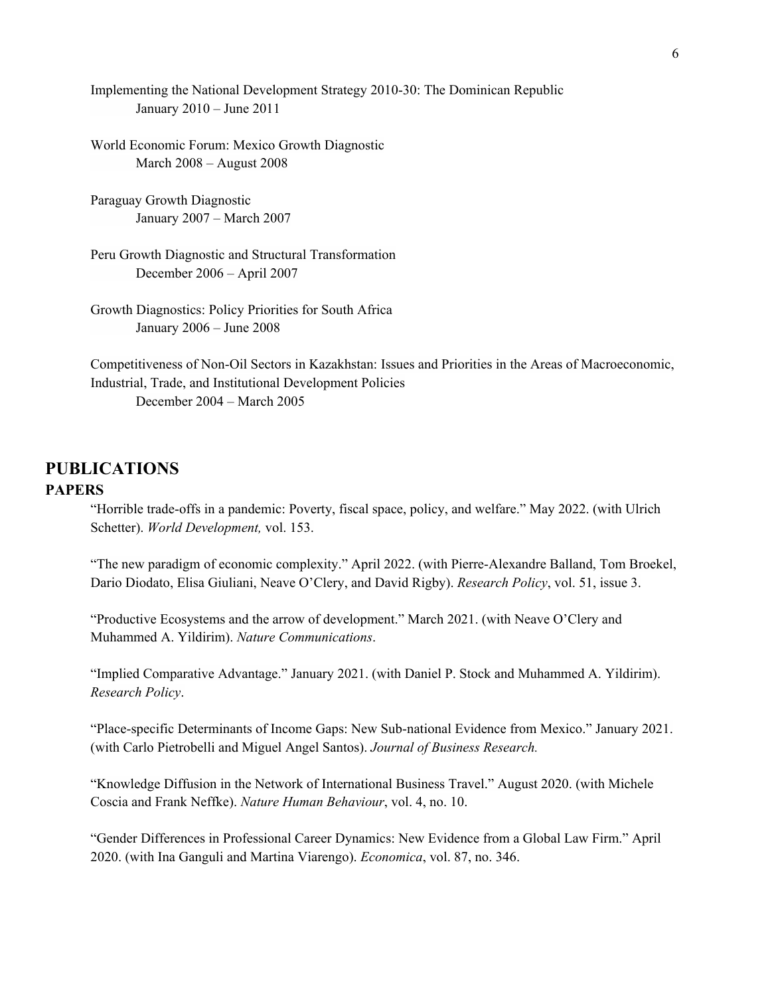Implementing the National Development Strategy 2010-30: The Dominican Republic January 2010 – June 2011

World Economic Forum: Mexico Growth Diagnostic March 2008 – August 2008

Paraguay Growth Diagnostic January 2007 – March 2007

Peru Growth Diagnostic and Structural Transformation December 2006 – April 2007

Growth Diagnostics: Policy Priorities for South Africa January 2006 – June 2008

Competitiveness of Non-Oil Sectors in Kazakhstan: Issues and Priorities in the Areas of Macroeconomic, Industrial, Trade, and Institutional Development Policies December 2004 – March 2005

## **PUBLICATIONS PAPERS**

"Horrible trade-offs in a pandemic: Poverty, fiscal space, policy, and welfare." May 2022. (with Ulrich Schetter). *World Development,* vol. 153.

"The new paradigm of economic complexity." April 2022. (with Pierre-Alexandre Balland, Tom Broekel, Dario Diodato, Elisa Giuliani, Neave O'Clery, and David Rigby). *Research Policy*, vol. 51, issue 3.

"Productive Ecosystems and the arrow of development." March 2021. (with Neave O'Clery and Muhammed A. Yildirim). *Nature Communications*.

"Implied Comparative Advantage." January 2021. (with Daniel P. Stock and Muhammed A. Yildirim). *Research Policy*.

"Place-specific Determinants of Income Gaps: New Sub-national Evidence from Mexico." January 2021. (with Carlo Pietrobelli and Miguel Angel Santos). *Journal of Business Research.*

"Knowledge Diffusion in the Network of International Business Travel." August 2020. (with Michele Coscia and Frank Neffke). *Nature Human Behaviour*, vol. 4, no. 10.

"Gender Differences in Professional Career Dynamics: New Evidence from a Global Law Firm." April 2020. (with Ina Ganguli and Martina Viarengo). *Economica*, vol. 87, no. 346.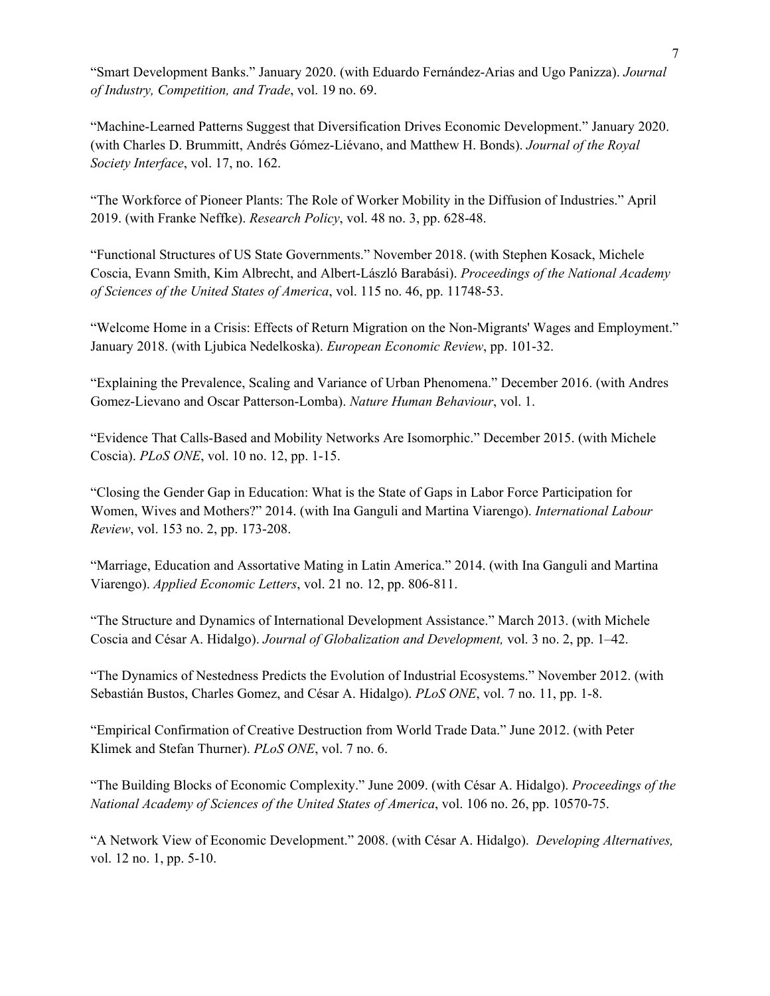"Smart Development Banks." January 2020. (with Eduardo Fernández-Arias and Ugo Panizza). *Journal of Industry, Competition, and Trade*, vol. 19 no. 69.

"Machine-Learned Patterns Suggest that Diversification Drives Economic Development." January 2020. (with Charles D. Brummitt, Andrés Gómez-Liévano, and Matthew H. Bonds). *Journal of the Royal Society Interface*, vol. 17, no. 162.

"The Workforce of Pioneer Plants: The Role of Worker Mobility in the Diffusion of Industries." April 2019. (with Franke Neffke). *Research Policy*, vol. 48 no. 3, pp. 628-48.

"Functional Structures of US State Governments." November 2018. (with Stephen Kosack, Michele Coscia, Evann Smith, Kim Albrecht, and Albert-László Barabási). *Proceedings of the National Academy of Sciences of the United States of America*, vol. 115 no. 46, pp. 11748-53.

"Welcome Home in a Crisis: Effects of Return Migration on the Non-Migrants' Wages and Employment." January 2018. (with Ljubica Nedelkoska). *European Economic Review*, pp. 101-32.

"Explaining the Prevalence, Scaling and Variance of Urban Phenomena." December 2016. (with Andres Gomez-Lievano and Oscar Patterson-Lomba). *Nature Human Behaviour*, vol. 1.

"Evidence That Calls-Based and Mobility Networks Are Isomorphic." December 2015. (with Michele Coscia). *PLoS ONE*, vol. 10 no. 12, pp. 1-15.

"Closing the Gender Gap in Education: What is the State of Gaps in Labor Force Participation for Women, Wives and Mothers?" 2014. (with Ina Ganguli and Martina Viarengo). *International Labour Review*, vol. 153 no. 2, pp. 173-208.

"Marriage, Education and Assortative Mating in Latin America." 2014. (with Ina Ganguli and Martina Viarengo). *Applied Economic Letters*, vol. 21 no. 12, pp. 806-811.

"The Structure and Dynamics of International Development Assistance." March 2013. (with Michele Coscia and César A. Hidalgo). *Journal of Globalization and Development,* vol. 3 no. 2, pp. 1–42.

"The Dynamics of Nestedness Predicts the Evolution of Industrial Ecosystems." November 2012. (with Sebastián Bustos, Charles Gomez, and César A. Hidalgo). *PLoS ONE*, vol. 7 no. 11, pp. 1-8.

"Empirical Confirmation of Creative Destruction from World Trade Data." June 2012. (with Peter Klimek and Stefan Thurner). *PLoS ONE*, vol. 7 no. 6.

"The Building Blocks of Economic Complexity." June 2009. (with César A. Hidalgo). *Proceedings of the National Academy of Sciences of the United States of America*, vol. 106 no. 26, pp. 10570-75.

"A Network View of Economic Development." 2008. (with César A. Hidalgo). *Developing Alternatives,* vol. 12 no. 1, pp. 5-10.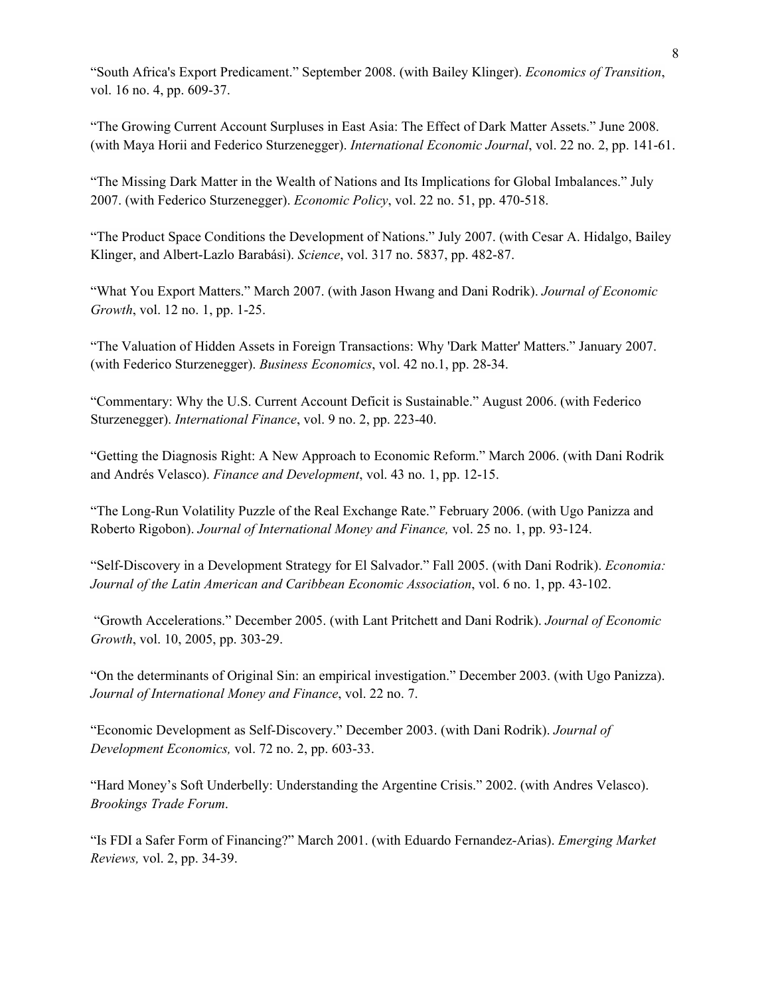"South Africa's Export Predicament." September 2008. (with Bailey Klinger). *Economics of Transition*, vol. 16 no. 4, pp. 609-37.

"The Growing Current Account Surpluses in East Asia: The Effect of Dark Matter Assets." June 2008. (with Maya Horii and Federico Sturzenegger). *International Economic Journal*, vol. 22 no. 2, pp. 141-61.

"The Missing Dark Matter in the Wealth of Nations and Its Implications for Global Imbalances." July 2007. (with Federico Sturzenegger). *Economic Policy*, vol. 22 no. 51, pp. 470-518.

"The Product Space Conditions the Development of Nations." July 2007. (with Cesar A. Hidalgo, Bailey Klinger, and Albert-Lazlo Barabási). *Science*, vol. 317 no. 5837, pp. 482-87.

"What You Export Matters." March 2007. (with Jason Hwang and Dani Rodrik). *Journal of Economic Growth*, vol. 12 no. 1, pp. 1-25.

"The Valuation of Hidden Assets in Foreign Transactions: Why 'Dark Matter' Matters." January 2007. (with Federico Sturzenegger). *Business Economics*, vol. 42 no.1, pp. 28-34.

"Commentary: Why the U.S. Current Account Deficit is Sustainable." August 2006. (with Federico Sturzenegger). *International Finance*, vol. 9 no. 2, pp. 223-40.

"Getting the Diagnosis Right: A New Approach to Economic Reform." March 2006. (with Dani Rodrik and Andrés Velasco). *Finance and Development*, vol. 43 no. 1, pp. 12-15.

"The Long-Run Volatility Puzzle of the Real Exchange Rate." February 2006. (with Ugo Panizza and Roberto Rigobon). *Journal of International Money and Finance,* vol. 25 no. 1, pp. 93-124.

"Self-Discovery in a Development Strategy for El Salvador." Fall 2005. (with Dani Rodrik). *Economia: Journal of the Latin American and Caribbean Economic Association*, vol. 6 no. 1, pp. 43-102.

"Growth Accelerations." December 2005. (with Lant Pritchett and Dani Rodrik). *Journal of Economic Growth*, vol. 10, 2005, pp. 303-29.

"On the determinants of Original Sin: an empirical investigation." December 2003. (with Ugo Panizza). *Journal of International Money and Finance*, vol. 22 no. 7.

"Economic Development as Self-Discovery." December 2003. (with Dani Rodrik). *Journal of Development Economics,* vol. 72 no. 2, pp. 603-33.

"Hard Money's Soft Underbelly: Understanding the Argentine Crisis." 2002. (with Andres Velasco). *Brookings Trade Forum*.

"Is FDI a Safer Form of Financing?" March 2001. (with Eduardo Fernandez-Arias). *Emerging Market Reviews,* vol. 2, pp. 34-39.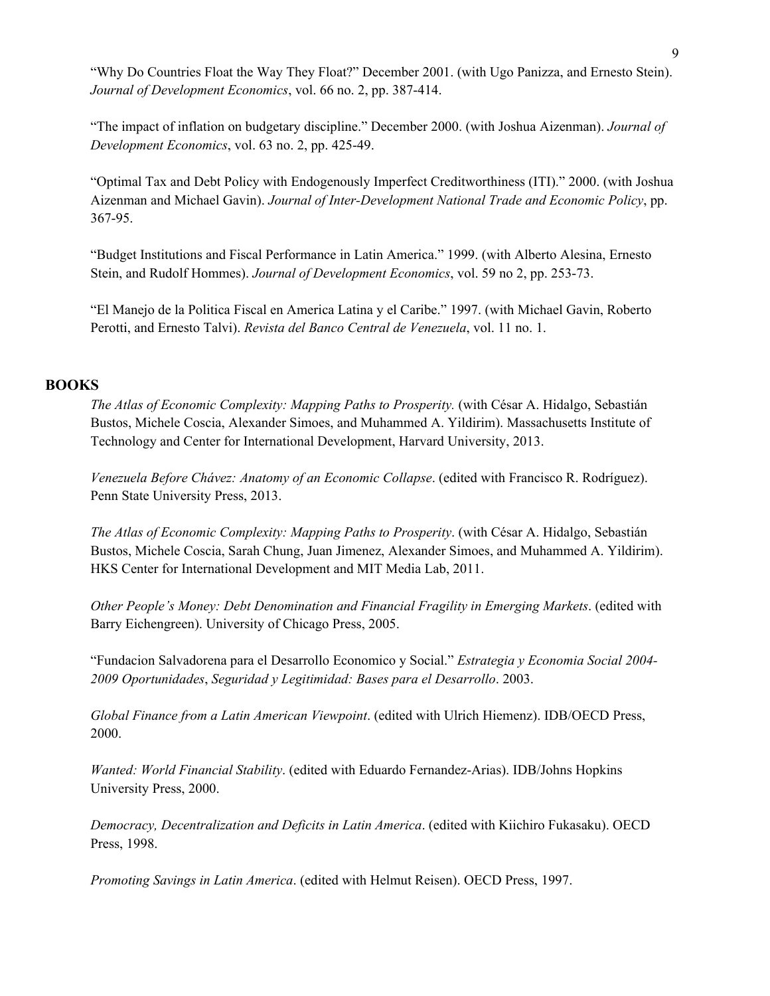"Why Do Countries Float the Way They Float?" December 2001. (with Ugo Panizza, and Ernesto Stein). *Journal of Development Economics*, vol. 66 no. 2, pp. 387-414.

"The impact of inflation on budgetary discipline." December 2000. (with Joshua Aizenman). *Journal of Development Economics*, vol. 63 no. 2, pp. 425-49.

"Optimal Tax and Debt Policy with Endogenously Imperfect Creditworthiness (ITI)." 2000. (with Joshua Aizenman and Michael Gavin). *Journal of Inter-Development National Trade and Economic Policy*, pp. 367-95.

"Budget Institutions and Fiscal Performance in Latin America." 1999. (with Alberto Alesina, Ernesto Stein, and Rudolf Hommes). *Journal of Development Economics*, vol. 59 no 2, pp. 253-73.

"El Manejo de la Politica Fiscal en America Latina y el Caribe." 1997. (with Michael Gavin, Roberto Perotti, and Ernesto Talvi). *Revista del Banco Central de Venezuela*, vol. 11 no. 1.

#### **BOOKS**

*The Atlas of Economic Complexity: Mapping Paths to Prosperity.* (with César A. Hidalgo, Sebastián Bustos, Michele Coscia, Alexander Simoes, and Muhammed A. Yildirim). Massachusetts Institute of Technology and Center for International Development, Harvard University, 2013.

*Venezuela Before Chávez: Anatomy of an Economic Collapse*. (edited with Francisco R. Rodríguez). Penn State University Press, 2013.

*The Atlas of Economic Complexity: Mapping Paths to Prosperity*. (with César A. Hidalgo, Sebastián Bustos, Michele Coscia, Sarah Chung, Juan Jimenez, Alexander Simoes, and Muhammed A. Yildirim). HKS Center for International Development and MIT Media Lab, 2011.

*Other People's Money: Debt Denomination and Financial Fragility in Emerging Markets*. (edited with Barry Eichengreen). University of Chicago Press, 2005.

"Fundacion Salvadorena para el Desarrollo Economico y Social." *Estrategia y Economia Social 2004- 2009 Oportunidades*, *Seguridad y Legitimidad: Bases para el Desarrollo*. 2003.

*Global Finance from a Latin American Viewpoint*. (edited with Ulrich Hiemenz). IDB/OECD Press, 2000.

*Wanted: World Financial Stability*. (edited with Eduardo Fernandez-Arias). IDB/Johns Hopkins University Press, 2000.

*Democracy, Decentralization and Deficits in Latin America*. (edited with Kiichiro Fukasaku). OECD Press, 1998.

*Promoting Savings in Latin America*. (edited with Helmut Reisen). OECD Press, 1997.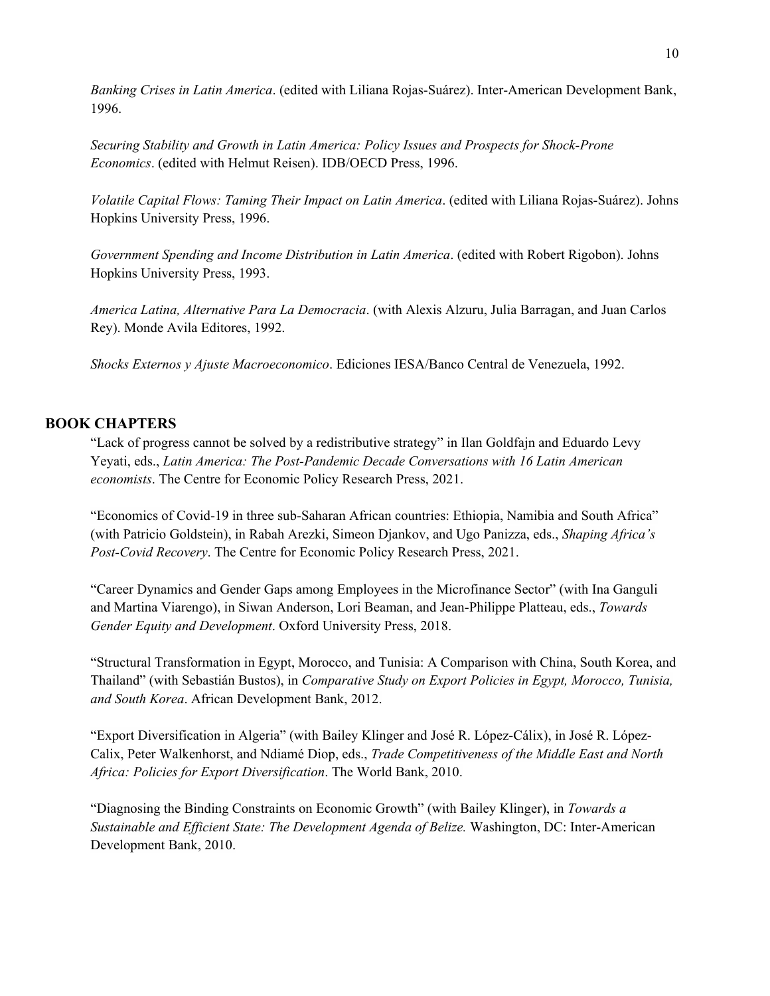*Banking Crises in Latin America*. (edited with Liliana Rojas-Suárez). Inter-American Development Bank, 1996.

*Securing Stability and Growth in Latin America: Policy Issues and Prospects for Shock-Prone Economics*. (edited with Helmut Reisen). IDB/OECD Press, 1996.

*Volatile Capital Flows: Taming Their Impact on Latin America*. (edited with Liliana Rojas-Suárez). Johns Hopkins University Press, 1996.

*Government Spending and Income Distribution in Latin America*. (edited with Robert Rigobon). Johns Hopkins University Press, 1993.

*America Latina, Alternative Para La Democracia*. (with Alexis Alzuru, Julia Barragan, and Juan Carlos Rey). Monde Avila Editores, 1992.

*Shocks Externos y Ajuste Macroeconomico*. Ediciones IESA/Banco Central de Venezuela, 1992.

#### **BOOK CHAPTERS**

"Lack of progress cannot be solved by a redistributive strategy" in Ilan Goldfajn and Eduardo Levy Yeyati, eds., *Latin America: The Post-Pandemic Decade Conversations with 16 Latin American economists*. The Centre for Economic Policy Research Press, 2021.

"Economics of Covid-19 in three sub‑Saharan African countries: Ethiopia, Namibia and South Africa" (with Patricio Goldstein), in Rabah Arezki, Simeon Djankov, and Ugo Panizza, eds., *Shaping Africa's Post-Covid Recovery*. The Centre for Economic Policy Research Press, 2021.

"Career Dynamics and Gender Gaps among Employees in the Microfinance Sector" (with Ina Ganguli and Martina Viarengo), in Siwan Anderson, Lori Beaman, and Jean-Philippe Platteau, eds., *Towards Gender Equity and Development*. Oxford University Press, 2018.

"Structural Transformation in Egypt, Morocco, and Tunisia: A Comparison with China, South Korea, and Thailand" (with Sebastián Bustos), in *Comparative Study on Export Policies in Egypt, Morocco, Tunisia, and South Korea*. African Development Bank, 2012.

"Export Diversification in Algeria" (with Bailey Klinger and José R. López-Cálix), in José R. López-Calix, Peter Walkenhorst, and Ndiamé Diop, eds., *Trade Competitiveness of the Middle East and North Africa: Policies for Export Diversification*. The World Bank, 2010.

"Diagnosing the Binding Constraints on Economic Growth" (with Bailey Klinger), in *Towards a Sustainable and Efficient State: The Development Agenda of Belize.* Washington, DC: Inter-American Development Bank, 2010.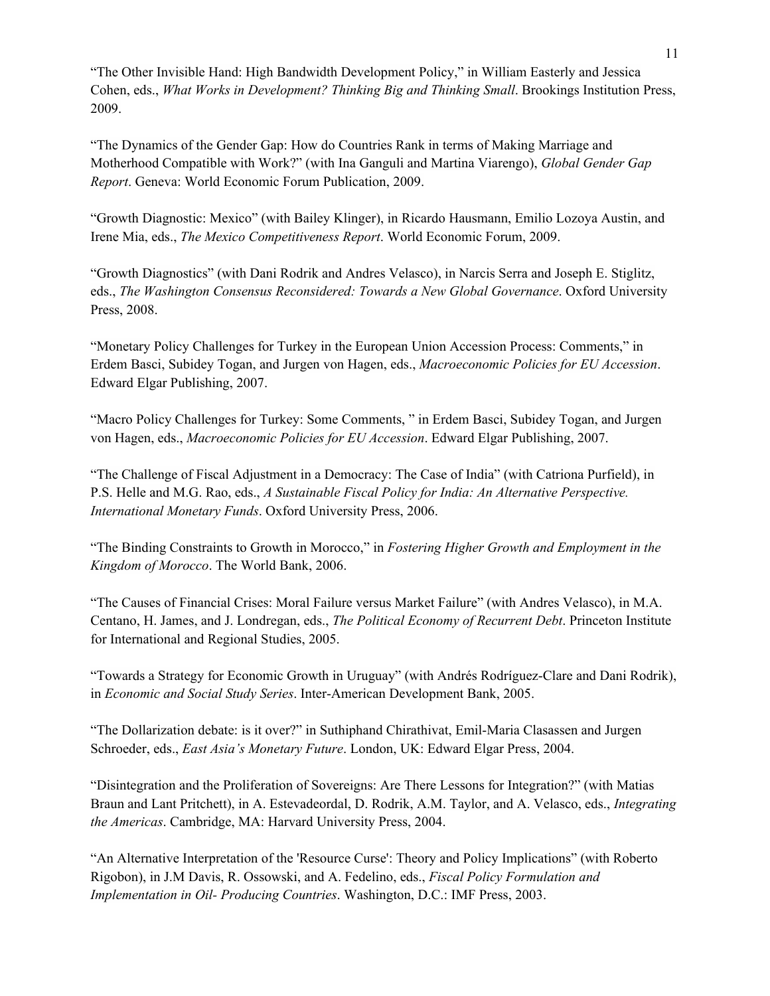"The Other Invisible Hand: High Bandwidth Development Policy," in William Easterly and Jessica Cohen, eds., *What Works in Development? Thinking Big and Thinking Small*. Brookings Institution Press, 2009.

"The Dynamics of the Gender Gap: How do Countries Rank in terms of Making Marriage and Motherhood Compatible with Work?" (with Ina Ganguli and Martina Viarengo), *Global Gender Gap Report*. Geneva: World Economic Forum Publication, 2009.

"Growth Diagnostic: Mexico" (with Bailey Klinger), in Ricardo Hausmann, Emilio Lozoya Austin, and Irene Mia, eds., *The Mexico Competitiveness Report*. World Economic Forum, 2009.

"Growth Diagnostics" (with Dani Rodrik and Andres Velasco), in Narcis Serra and Joseph E. Stiglitz, eds., *The Washington Consensus Reconsidered: Towards a New Global Governance*. Oxford University Press, 2008.

"Monetary Policy Challenges for Turkey in the European Union Accession Process: Comments," in Erdem Basci, Subidey Togan, and Jurgen von Hagen, eds., *Macroeconomic Policies for EU Accession*. Edward Elgar Publishing, 2007.

"Macro Policy Challenges for Turkey: Some Comments, " in Erdem Basci, Subidey Togan, and Jurgen von Hagen, eds., *Macroeconomic Policies for EU Accession*. Edward Elgar Publishing, 2007.

"The Challenge of Fiscal Adjustment in a Democracy: The Case of India" (with Catriona Purfield), in P.S. Helle and M.G. Rao, eds., *A Sustainable Fiscal Policy for India: An Alternative Perspective. International Monetary Funds*. Oxford University Press, 2006.

"The Binding Constraints to Growth in Morocco," in *Fostering Higher Growth and Employment in the Kingdom of Morocco*. The World Bank, 2006.

"The Causes of Financial Crises: Moral Failure versus Market Failure" (with Andres Velasco), in M.A. Centano, H. James, and J. Londregan, eds., *The Political Economy of Recurrent Debt*. Princeton Institute for International and Regional Studies, 2005.

"Towards a Strategy for Economic Growth in Uruguay" (with Andrés Rodríguez-Clare and Dani Rodrik), in *Economic and Social Study Series*. Inter-American Development Bank, 2005.

"The Dollarization debate: is it over?" in Suthiphand Chirathivat, Emil-Maria Clasassen and Jurgen Schroeder, eds., *East Asia's Monetary Future*. London, UK: Edward Elgar Press, 2004.

"Disintegration and the Proliferation of Sovereigns: Are There Lessons for Integration?" (with Matias Braun and Lant Pritchett), in A. Estevadeordal, D. Rodrik, A.M. Taylor, and A. Velasco, eds., *Integrating the Americas*. Cambridge, MA: Harvard University Press, 2004.

"An Alternative Interpretation of the 'Resource Curse': Theory and Policy Implications" (with Roberto Rigobon), in J.M Davis, R. Ossowski, and A. Fedelino, eds., *Fiscal Policy Formulation and Implementation in Oil- Producing Countries*. Washington, D.C.: IMF Press, 2003.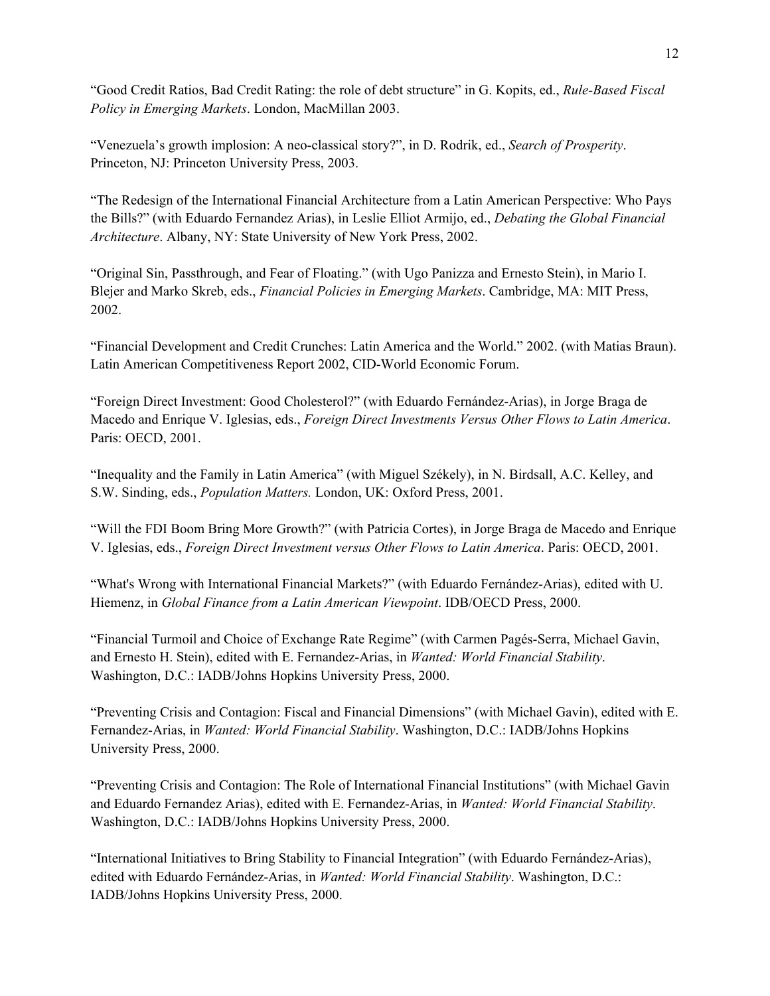"Good Credit Ratios, Bad Credit Rating: the role of debt structure" in G. Kopits, ed., *Rule-Based Fiscal Policy in Emerging Markets*. London, MacMillan 2003.

"Venezuela's growth implosion: A neo-classical story?", in D. Rodrik, ed., *Search of Prosperity*. Princeton, NJ: Princeton University Press, 2003.

"The Redesign of the International Financial Architecture from a Latin American Perspective: Who Pays the Bills?" (with Eduardo Fernandez Arias), in Leslie Elliot Armijo, ed., *Debating the Global Financial Architecture*. Albany, NY: State University of New York Press, 2002.

"Original Sin, Passthrough, and Fear of Floating." (with Ugo Panizza and Ernesto Stein), in Mario I. Blejer and Marko Skreb, eds., *Financial Policies in Emerging Markets*. Cambridge, MA: MIT Press, 2002.

"Financial Development and Credit Crunches: Latin America and the World." 2002. (with Matias Braun). Latin American Competitiveness Report 2002, CID-World Economic Forum.

"Foreign Direct Investment: Good Cholesterol?" (with Eduardo Fernández-Arias), in Jorge Braga de Macedo and Enrique V. Iglesias, eds., *Foreign Direct Investments Versus Other Flows to Latin America*. Paris: OECD, 2001.

"Inequality and the Family in Latin America" (with Miguel Székely), in N. Birdsall, A.C. Kelley, and S.W. Sinding, eds., *Population Matters.* London, UK: Oxford Press, 2001.

"Will the FDI Boom Bring More Growth?" (with Patricia Cortes), in Jorge Braga de Macedo and Enrique V. Iglesias, eds., *Foreign Direct Investment versus Other Flows to Latin America*. Paris: OECD, 2001.

"What's Wrong with International Financial Markets?" (with Eduardo Fernández-Arias), edited with U. Hiemenz, in *Global Finance from a Latin American Viewpoint*. IDB/OECD Press, 2000.

"Financial Turmoil and Choice of Exchange Rate Regime" (with Carmen Pagés-Serra, Michael Gavin, and Ernesto H. Stein), edited with E. Fernandez-Arias, in *Wanted: World Financial Stability*. Washington, D.C.: IADB/Johns Hopkins University Press, 2000.

"Preventing Crisis and Contagion: Fiscal and Financial Dimensions" (with Michael Gavin), edited with E. Fernandez-Arias, in *Wanted: World Financial Stability*. Washington, D.C.: IADB/Johns Hopkins University Press, 2000.

"Preventing Crisis and Contagion: The Role of International Financial Institutions" (with Michael Gavin and Eduardo Fernandez Arias), edited with E. Fernandez-Arias, in *Wanted: World Financial Stability*. Washington, D.C.: IADB/Johns Hopkins University Press, 2000.

"International Initiatives to Bring Stability to Financial Integration" (with Eduardo Fernández-Arias), edited with Eduardo Fernández-Arias, in *Wanted: World Financial Stability*. Washington, D.C.: IADB/Johns Hopkins University Press, 2000.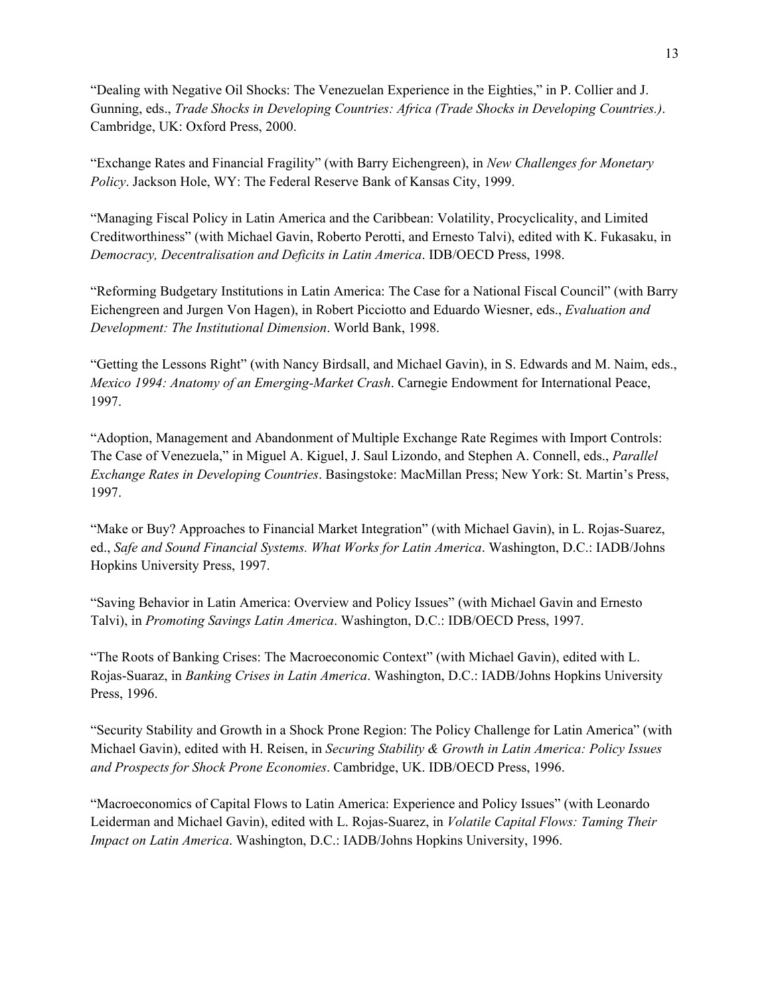"Dealing with Negative Oil Shocks: The Venezuelan Experience in the Eighties," in P. Collier and J. Gunning, eds., *Trade Shocks in Developing Countries: Africa (Trade Shocks in Developing Countries.)*. Cambridge, UK: Oxford Press, 2000.

"Exchange Rates and Financial Fragility" (with Barry Eichengreen), in *New Challenges for Monetary Policy*. Jackson Hole, WY: The Federal Reserve Bank of Kansas City, 1999.

"Managing Fiscal Policy in Latin America and the Caribbean: Volatility, Procyclicality, and Limited Creditworthiness" (with Michael Gavin, Roberto Perotti, and Ernesto Talvi), edited with K. Fukasaku, in *Democracy, Decentralisation and Deficits in Latin America*. IDB/OECD Press, 1998.

"Reforming Budgetary Institutions in Latin America: The Case for a National Fiscal Council" (with Barry Eichengreen and Jurgen Von Hagen), in Robert Picciotto and Eduardo Wiesner, eds., *Evaluation and Development: The Institutional Dimension*. World Bank, 1998.

"Getting the Lessons Right" (with Nancy Birdsall, and Michael Gavin), in S. Edwards and M. Naim, eds., *Mexico 1994: Anatomy of an Emerging-Market Crash*. Carnegie Endowment for International Peace, 1997.

"Adoption, Management and Abandonment of Multiple Exchange Rate Regimes with Import Controls: The Case of Venezuela," in Miguel A. Kiguel, J. Saul Lizondo, and Stephen A. Connell, eds., *Parallel Exchange Rates in Developing Countries*. Basingstoke: MacMillan Press; New York: St. Martin's Press, 1997.

"Make or Buy? Approaches to Financial Market Integration" (with Michael Gavin), in L. Rojas-Suarez, ed., *Safe and Sound Financial Systems. What Works for Latin America*. Washington, D.C.: IADB/Johns Hopkins University Press, 1997.

"Saving Behavior in Latin America: Overview and Policy Issues" (with Michael Gavin and Ernesto Talvi), in *Promoting Savings Latin America*. Washington, D.C.: IDB/OECD Press, 1997.

"The Roots of Banking Crises: The Macroeconomic Context" (with Michael Gavin), edited with L. Rojas-Suaraz, in *Banking Crises in Latin America*. Washington, D.C.: IADB/Johns Hopkins University Press, 1996.

"Security Stability and Growth in a Shock Prone Region: The Policy Challenge for Latin America" (with Michael Gavin), edited with H. Reisen, in *Securing Stability & Growth in Latin America: Policy Issues and Prospects for Shock Prone Economies*. Cambridge, UK. IDB/OECD Press, 1996.

"Macroeconomics of Capital Flows to Latin America: Experience and Policy Issues" (with Leonardo Leiderman and Michael Gavin), edited with L. Rojas-Suarez, in *Volatile Capital Flows: Taming Their Impact on Latin America*. Washington, D.C.: IADB/Johns Hopkins University, 1996.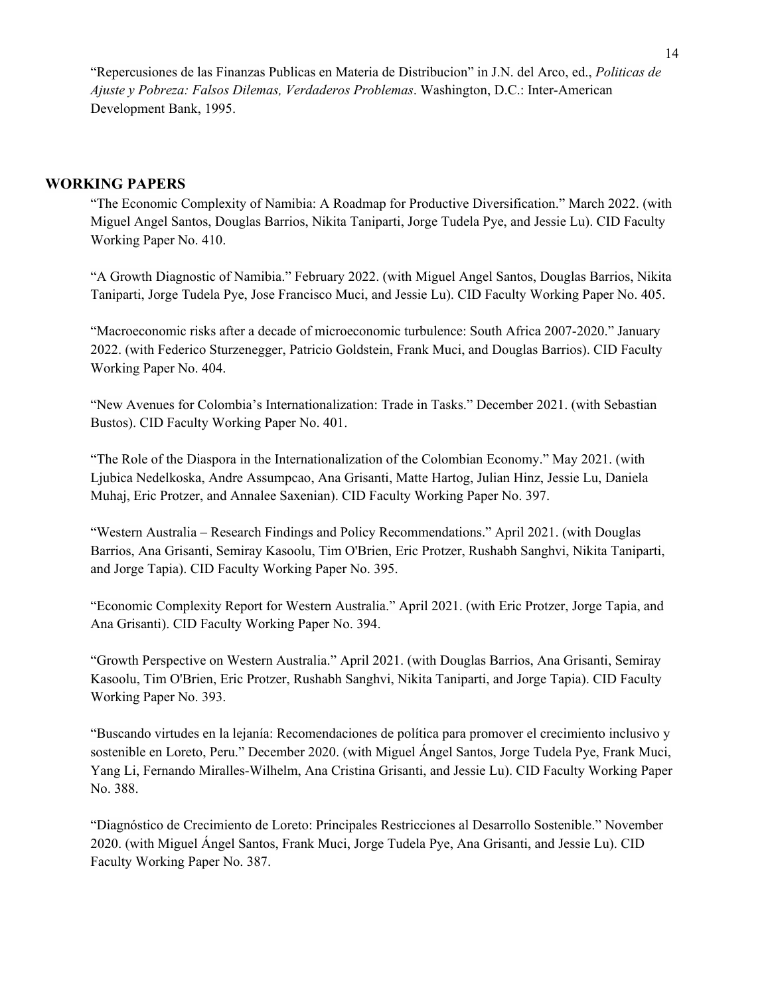"Repercusiones de las Finanzas Publicas en Materia de Distribucion" in J.N. del Arco, ed., *Politicas de Ajuste y Pobreza: Falsos Dilemas, Verdaderos Problemas*. Washington, D.C.: Inter-American Development Bank, 1995.

#### **WORKING PAPERS**

"The Economic Complexity of Namibia: A Roadmap for Productive Diversification." March 2022. (with Miguel Angel Santos, Douglas Barrios, Nikita Taniparti, Jorge Tudela Pye, and Jessie Lu). CID Faculty Working Paper No. 410.

"A Growth Diagnostic of Namibia." February 2022. (with Miguel Angel Santos, Douglas Barrios, Nikita Taniparti, Jorge Tudela Pye, Jose Francisco Muci, and Jessie Lu). CID Faculty Working Paper No. 405.

"Macroeconomic risks after a decade of microeconomic turbulence: South Africa 2007-2020." January 2022. (with Federico Sturzenegger, Patricio Goldstein, Frank Muci, and Douglas Barrios). CID Faculty Working Paper No. 404.

"New Avenues for Colombia's Internationalization: Trade in Tasks." December 2021. (with Sebastian Bustos). CID Faculty Working Paper No. 401.

"The Role of the Diaspora in the Internationalization of the Colombian Economy." May 2021. (with Ljubica Nedelkoska, Andre Assumpcao, Ana Grisanti, Matte Hartog, Julian Hinz, Jessie Lu, Daniela Muhaj, Eric Protzer, and Annalee Saxenian). CID Faculty Working Paper No. 397.

"Western Australia – Research Findings and Policy Recommendations." April 2021. (with Douglas Barrios, Ana Grisanti, Semiray Kasoolu, Tim O'Brien, Eric Protzer, Rushabh Sanghvi, Nikita Taniparti, and Jorge Tapia). CID Faculty Working Paper No. 395.

"Economic Complexity Report for Western Australia." April 2021. (with Eric Protzer, Jorge Tapia, and Ana Grisanti). CID Faculty Working Paper No. 394.

"Growth Perspective on Western Australia." April 2021. (with Douglas Barrios, Ana Grisanti, Semiray Kasoolu, Tim O'Brien, Eric Protzer, Rushabh Sanghvi, Nikita Taniparti, and Jorge Tapia). CID Faculty Working Paper No. 393.

"Buscando virtudes en la lejanía: Recomendaciones de política para promover el crecimiento inclusivo y sostenible en Loreto, Peru." December 2020. (with Miguel Ángel Santos, Jorge Tudela Pye, Frank Muci, Yang Li, Fernando Miralles-Wilhelm, Ana Cristina Grisanti, and Jessie Lu). CID Faculty Working Paper No. 388.

"Diagnóstico de Crecimiento de Loreto: Principales Restricciones al Desarrollo Sostenible." November 2020. (with Miguel Ángel Santos, Frank Muci, Jorge Tudela Pye, Ana Grisanti, and Jessie Lu). CID Faculty Working Paper No. 387.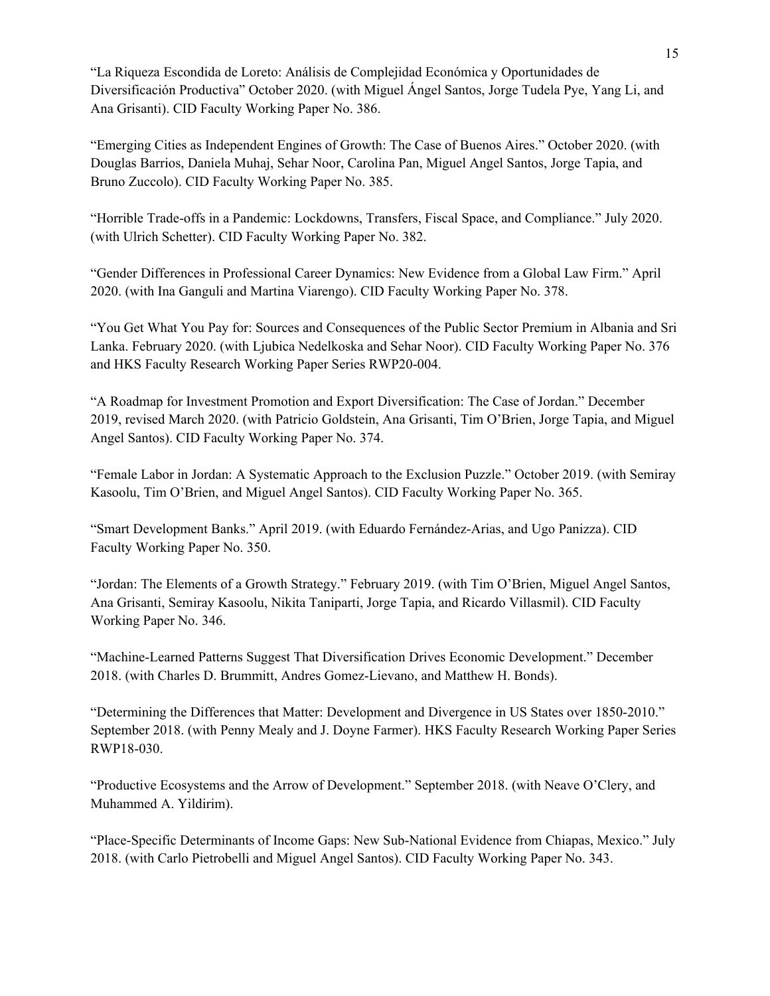"La Riqueza Escondida de Loreto: Análisis de Complejidad Económica y Oportunidades de Diversificación Productiva" October 2020. (with Miguel Ángel Santos, Jorge Tudela Pye, Yang Li, and Ana Grisanti). CID Faculty Working Paper No. 386.

"Emerging Cities as Independent Engines of Growth: The Case of Buenos Aires." October 2020. (with Douglas Barrios, Daniela Muhaj, Sehar Noor, Carolina Pan, Miguel Angel Santos, Jorge Tapia, and Bruno Zuccolo). CID Faculty Working Paper No. 385.

"Horrible Trade-offs in a Pandemic: Lockdowns, Transfers, Fiscal Space, and Compliance." July 2020. (with Ulrich Schetter). CID Faculty Working Paper No. 382.

"Gender Differences in Professional Career Dynamics: New Evidence from a Global Law Firm." April 2020. (with Ina Ganguli and Martina Viarengo). CID Faculty Working Paper No. 378.

"You Get What You Pay for: Sources and Consequences of the Public Sector Premium in Albania and Sri Lanka. February 2020. (with Ljubica Nedelkoska and Sehar Noor). CID Faculty Working Paper No. 376 and HKS Faculty Research Working Paper Series RWP20-004.

"A Roadmap for Investment Promotion and Export Diversification: The Case of Jordan." December 2019, revised March 2020. (with Patricio Goldstein, Ana Grisanti, Tim O'Brien, Jorge Tapia, and Miguel Angel Santos). CID Faculty Working Paper No. 374.

"Female Labor in Jordan: A Systematic Approach to the Exclusion Puzzle." October 2019. (with Semiray Kasoolu, Tim O'Brien, and Miguel Angel Santos). CID Faculty Working Paper No. 365.

"Smart Development Banks." April 2019. (with Eduardo Fernández-Arias, and Ugo Panizza). CID Faculty Working Paper No. 350.

"Jordan: The Elements of a Growth Strategy." February 2019. (with Tim O'Brien, Miguel Angel Santos, Ana Grisanti, Semiray Kasoolu, Nikita Taniparti, Jorge Tapia, and Ricardo Villasmil). CID Faculty Working Paper No. 346.

"Machine-Learned Patterns Suggest That Diversification Drives Economic Development." December 2018. (with Charles D. Brummitt, Andres Gomez-Lievano, and Matthew H. Bonds).

"Determining the Differences that Matter: Development and Divergence in US States over 1850-2010." September 2018. (with Penny Mealy and J. Doyne Farmer). HKS Faculty Research Working Paper Series RWP18-030.

"Productive Ecosystems and the Arrow of Development." September 2018. (with Neave O'Clery, and Muhammed A. Yildirim).

"Place-Specific Determinants of Income Gaps: New Sub-National Evidence from Chiapas, Mexico." July 2018. (with Carlo Pietrobelli and Miguel Angel Santos). CID Faculty Working Paper No. 343.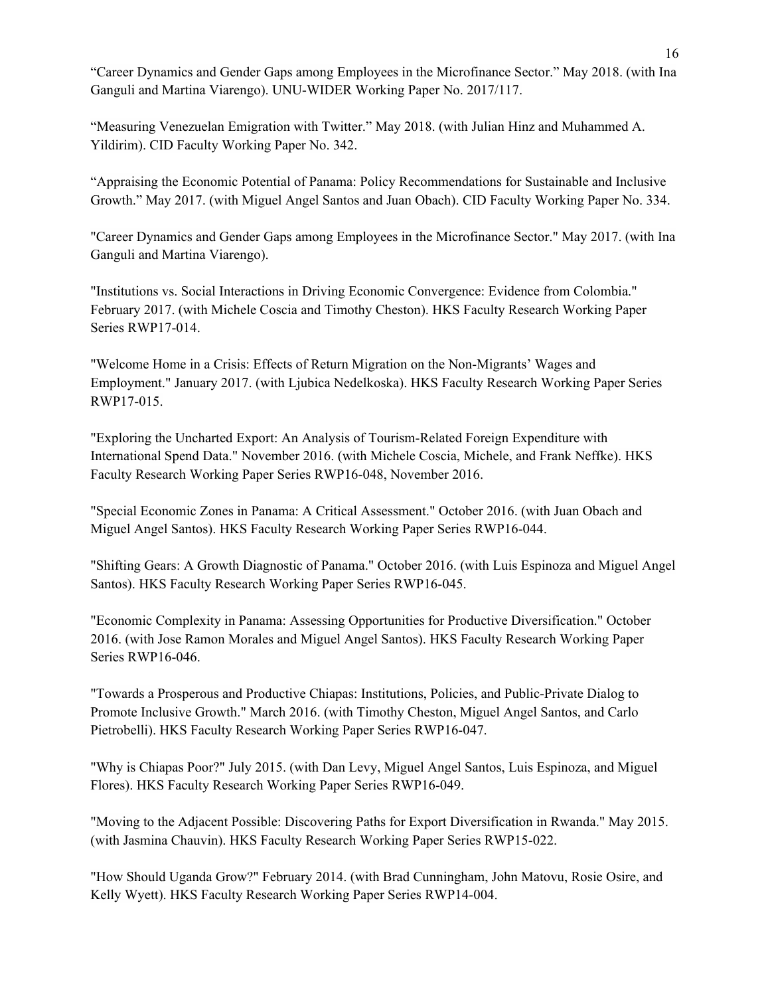"Career Dynamics and Gender Gaps among Employees in the Microfinance Sector." May 2018. (with Ina Ganguli and Martina Viarengo). UNU-WIDER Working Paper No. 2017/117.

"Measuring Venezuelan Emigration with Twitter." May 2018. (with Julian Hinz and Muhammed A. Yildirim). CID Faculty Working Paper No. 342.

"Appraising the Economic Potential of Panama: Policy Recommendations for Sustainable and Inclusive Growth." May 2017. (with Miguel Angel Santos and Juan Obach). CID Faculty Working Paper No. 334.

"Career Dynamics and Gender Gaps among Employees in the Microfinance Sector." May 2017. (with Ina Ganguli and Martina Viarengo).

"Institutions vs. Social Interactions in Driving Economic Convergence: Evidence from Colombia." February 2017. (with Michele Coscia and Timothy Cheston). HKS Faculty Research Working Paper Series RWP17-014.

"Welcome Home in a Crisis: Effects of Return Migration on the Non-Migrants' Wages and Employment." January 2017. (with Ljubica Nedelkoska). HKS Faculty Research Working Paper Series RWP17-015.

"Exploring the Uncharted Export: An Analysis of Tourism-Related Foreign Expenditure with International Spend Data." November 2016. (with Michele Coscia, Michele, and Frank Neffke). HKS Faculty Research Working Paper Series RWP16-048, November 2016.

"Special Economic Zones in Panama: A Critical Assessment." October 2016. (with Juan Obach and Miguel Angel Santos). HKS Faculty Research Working Paper Series RWP16-044.

"Shifting Gears: A Growth Diagnostic of Panama." October 2016. (with Luis Espinoza and Miguel Angel Santos). HKS Faculty Research Working Paper Series RWP16-045.

"Economic Complexity in Panama: Assessing Opportunities for Productive Diversification." October 2016. (with Jose Ramon Morales and Miguel Angel Santos). HKS Faculty Research Working Paper Series RWP16-046.

"Towards a Prosperous and Productive Chiapas: Institutions, Policies, and Public-Private Dialog to Promote Inclusive Growth." March 2016. (with Timothy Cheston, Miguel Angel Santos, and Carlo Pietrobelli). HKS Faculty Research Working Paper Series RWP16-047.

"Why is Chiapas Poor?" July 2015. (with Dan Levy, Miguel Angel Santos, Luis Espinoza, and Miguel Flores). HKS Faculty Research Working Paper Series RWP16-049.

"Moving to the Adjacent Possible: Discovering Paths for Export Diversification in Rwanda." May 2015. (with Jasmina Chauvin). HKS Faculty Research Working Paper Series RWP15-022.

"How Should Uganda Grow?" February 2014. (with Brad Cunningham, John Matovu, Rosie Osire, and Kelly Wyett). HKS Faculty Research Working Paper Series RWP14-004.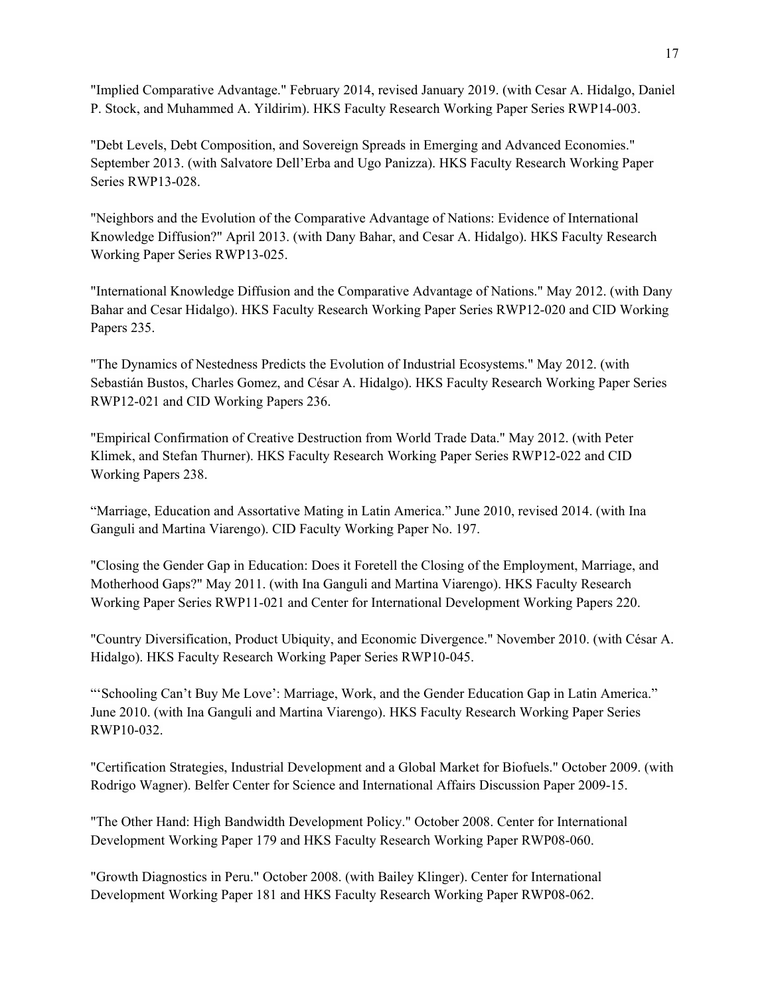"Implied Comparative Advantage." February 2014, revised January 2019. (with Cesar A. Hidalgo, Daniel P. Stock, and Muhammed A. Yildirim). HKS Faculty Research Working Paper Series RWP14-003.

"Debt Levels, Debt Composition, and Sovereign Spreads in Emerging and Advanced Economies." September 2013. (with Salvatore Dell'Erba and Ugo Panizza). HKS Faculty Research Working Paper Series RWP13-028.

"Neighbors and the Evolution of the Comparative Advantage of Nations: Evidence of International Knowledge Diffusion?" April 2013. (with Dany Bahar, and Cesar A. Hidalgo). HKS Faculty Research Working Paper Series RWP13-025.

"International Knowledge Diffusion and the Comparative Advantage of Nations." May 2012. (with Dany Bahar and Cesar Hidalgo). HKS Faculty Research Working Paper Series RWP12-020 and CID Working Papers 235.

"The Dynamics of Nestedness Predicts the Evolution of Industrial Ecosystems." May 2012. (with Sebastián Bustos, Charles Gomez, and César A. Hidalgo). HKS Faculty Research Working Paper Series RWP12-021 and CID Working Papers 236.

"Empirical Confirmation of Creative Destruction from World Trade Data." May 2012. (with Peter Klimek, and Stefan Thurner). HKS Faculty Research Working Paper Series RWP12-022 and CID Working Papers 238.

"Marriage, Education and Assortative Mating in Latin America." June 2010, revised 2014. (with Ina Ganguli and Martina Viarengo). CID Faculty Working Paper No. 197.

"Closing the Gender Gap in Education: Does it Foretell the Closing of the Employment, Marriage, and Motherhood Gaps?" May 2011. (with Ina Ganguli and Martina Viarengo). HKS Faculty Research Working Paper Series RWP11-021 and Center for International Development Working Papers 220.

"Country Diversification, Product Ubiquity, and Economic Divergence." November 2010. (with César A. Hidalgo). HKS Faculty Research Working Paper Series RWP10-045.

"'Schooling Can't Buy Me Love': Marriage, Work, and the Gender Education Gap in Latin America." June 2010. (with Ina Ganguli and Martina Viarengo). HKS Faculty Research Working Paper Series RWP10-032.

"Certification Strategies, Industrial Development and a Global Market for Biofuels." October 2009. (with Rodrigo Wagner). Belfer Center for Science and International Affairs Discussion Paper 2009-15.

"The Other Hand: High Bandwidth Development Policy." October 2008. Center for International Development Working Paper 179 and HKS Faculty Research Working Paper RWP08-060.

"Growth Diagnostics in Peru." October 2008. (with Bailey Klinger). Center for International Development Working Paper 181 and HKS Faculty Research Working Paper RWP08-062.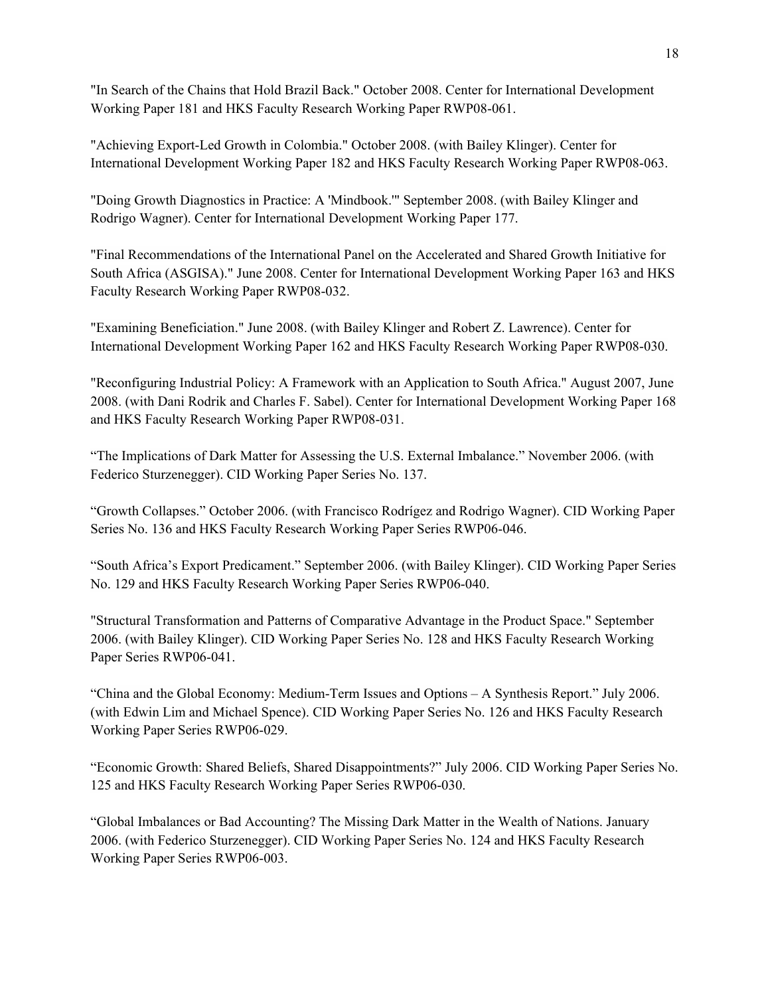"In Search of the Chains that Hold Brazil Back." October 2008. Center for International Development Working Paper 181 and HKS Faculty Research Working Paper RWP08-061.

"Achieving Export-Led Growth in Colombia." October 2008. (with Bailey Klinger). Center for International Development Working Paper 182 and HKS Faculty Research Working Paper RWP08-063.

"Doing Growth Diagnostics in Practice: A 'Mindbook.'" September 2008. (with Bailey Klinger and Rodrigo Wagner). Center for International Development Working Paper 177.

"Final Recommendations of the International Panel on the Accelerated and Shared Growth Initiative for South Africa (ASGISA)." June 2008. Center for International Development Working Paper 163 and HKS Faculty Research Working Paper RWP08-032.

"Examining Beneficiation." June 2008. (with Bailey Klinger and Robert Z. Lawrence). Center for International Development Working Paper 162 and HKS Faculty Research Working Paper RWP08-030.

"Reconfiguring Industrial Policy: A Framework with an Application to South Africa." August 2007, June 2008. (with Dani Rodrik and Charles F. Sabel). Center for International Development Working Paper 168 and HKS Faculty Research Working Paper RWP08-031.

"The Implications of Dark Matter for Assessing the U.S. External Imbalance." November 2006. (with Federico Sturzenegger). CID Working Paper Series No. 137.

"Growth Collapses." October 2006. (with Francisco Rodrígez and Rodrigo Wagner). CID Working Paper Series No. 136 and HKS Faculty Research Working Paper Series RWP06-046.

"South Africa's Export Predicament." September 2006. (with Bailey Klinger). CID Working Paper Series No. 129 and HKS Faculty Research Working Paper Series RWP06-040.

"Structural Transformation and Patterns of Comparative Advantage in the Product Space." September 2006. (with Bailey Klinger). CID Working Paper Series No. 128 and HKS Faculty Research Working Paper Series RWP06-041.

"China and the Global Economy: Medium-Term Issues and Options – A Synthesis Report." July 2006. (with Edwin Lim and Michael Spence). CID Working Paper Series No. 126 and HKS Faculty Research Working Paper Series RWP06-029.

"Economic Growth: Shared Beliefs, Shared Disappointments?" July 2006. CID Working Paper Series No. 125 and HKS Faculty Research Working Paper Series RWP06-030.

"Global Imbalances or Bad Accounting? The Missing Dark Matter in the Wealth of Nations. January 2006. (with Federico Sturzenegger). CID Working Paper Series No. 124 and HKS Faculty Research Working Paper Series RWP06-003.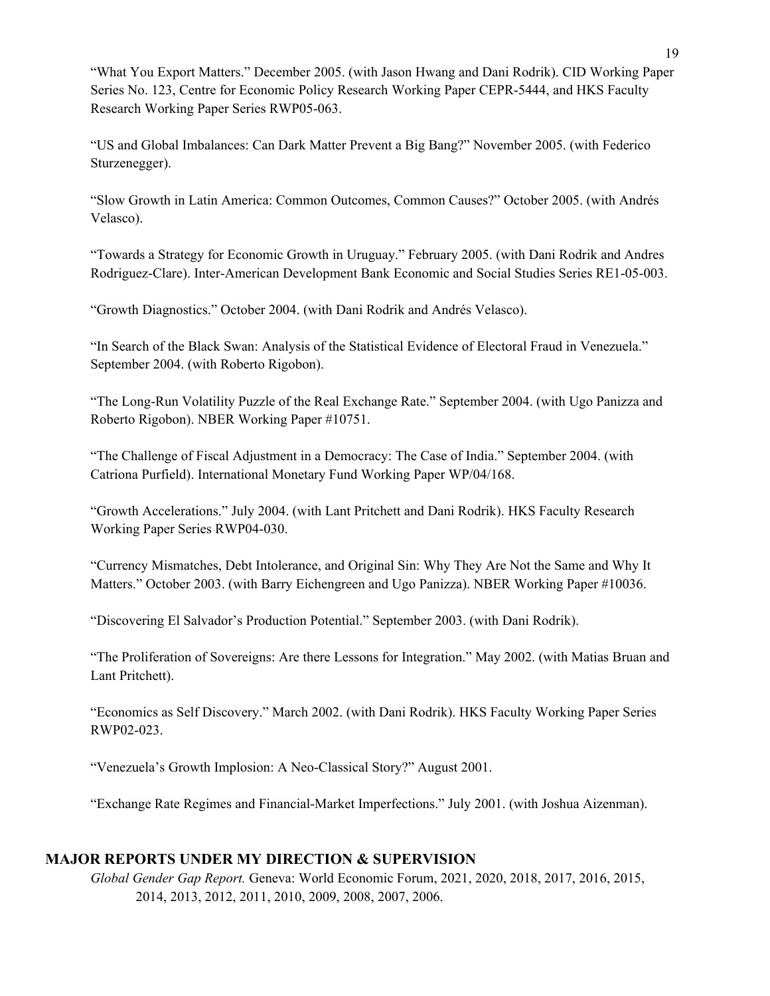"What You Export Matters." December 2005. (with Jason Hwang and Dani Rodrik). CID Working Paper Series No. 123, Centre for Economic Policy Research Working Paper CEPR-5444, and HKS Faculty Research Working Paper Series RWP05-063.

"US and Global Imbalances: Can Dark Matter Prevent a Big Bang?" November 2005. (with Federico Sturzenegger).

"Slow Growth in Latin America: Common Outcomes, Common Causes?" October 2005. (with Andrés Velasco).

"Towards a Strategy for Economic Growth in Uruguay." February 2005. (with Dani Rodrik and Andres Rodriguez-Clare). Inter-American Development Bank Economic and Social Studies Series RE1-05-003.

"Growth Diagnostics." October 2004. (with Dani Rodrik and Andrés Velasco).

"In Search of the Black Swan: Analysis of the Statistical Evidence of Electoral Fraud in Venezuela." September 2004. (with Roberto Rigobon).

"The Long-Run Volatility Puzzle of the Real Exchange Rate." September 2004. (with Ugo Panizza and Roberto Rigobon). NBER Working Paper #10751.

"The Challenge of Fiscal Adjustment in a Democracy: The Case of India." September 2004. (with Catriona Purfield). International Monetary Fund Working Paper WP/04/168.

"Growth Accelerations." July 2004. (with Lant Pritchett and Dani Rodrik). HKS Faculty Research Working Paper Series RWP04-030.

"Currency Mismatches, Debt Intolerance, and Original Sin: Why They Are Not the Same and Why It Matters." October 2003. (with Barry Eichengreen and Ugo Panizza). NBER Working Paper #10036.

"Discovering El Salvador's Production Potential." September 2003. (with Dani Rodrik).

"The Proliferation of Sovereigns: Are there Lessons for Integration." May 2002. (with Matias Bruan and Lant Pritchett).

"Economics as Self Discovery." March 2002. (with Dani Rodrik). HKS Faculty Working Paper Series RWP02-023.

"Venezuela's Growth Implosion: A Neo-Classical Story?" August 2001.

"Exchange Rate Regimes and Financial-Market Imperfections." July 2001. (with Joshua Aizenman).

#### **MAJOR REPORTS UNDER MY DIRECTION & SUPERVISION**

*Global Gender Gap Report.* Geneva: World Economic Forum, 2021, 2020, 2018, 2017, 2016, 2015, 2014, 2013, 2012, 2011, 2010, 2009, 2008, 2007, 2006.